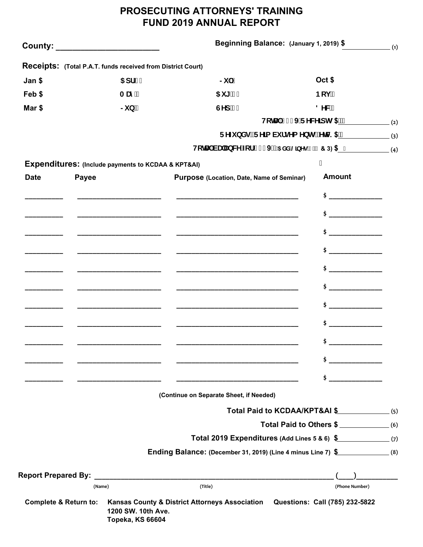## **PROSECUTING ATTORNEYS' TRAINING FUND 2019 ANNUAL REPORT**

| County: ________________________ |              |                                                             | Beginning Balance: (January 1, 2019) \$                                                   |                                   | (1) |
|----------------------------------|--------------|-------------------------------------------------------------|-------------------------------------------------------------------------------------------|-----------------------------------|-----|
|                                  |              | Receipts: (Total P.A.T. funds received from District Court) |                                                                                           |                                   |     |
| Jan \$                           |              | $5 df$ "                                                    | $\mathsf{S}$ $\mathsf{S}$                                                                 | Oct \$                            |     |
| Feb \$                           |              | A Um <sup>y</sup>                                           | $5i$ ["                                                                                   | Bcj                               |     |
| Mar \$                           |              | $\mathsf{S}$ i b $\mathsf{S}$                               | GYd <sup>"</sup>                                                                          | <b>8 YW</b>                       |     |
|                                  |              |                                                             |                                                                                           | Hc HJ' $8$%$ FYW']dlg $$^{}$$ (2) |     |
|                                  |              |                                                             | FYZ bXgžFY]a Vi fgYa YbłgžYłW \$" (3)                                                     |                                   |     |
|                                  |              |                                                             |                                                                                           |                                   |     |
|                                  |              | Expenditures: (Include payments to KCDAA & KPT&AI)          |                                                                                           |                                   |     |
| <b>Date</b>                      | <b>Payee</b> |                                                             | Purpose (Location, Date, Name of Seminar)                                                 | <b>Amount</b>                     |     |
|                                  |              |                                                             |                                                                                           | $\frac{1}{2}$                     |     |
|                                  |              |                                                             |                                                                                           | $\sharp$                          |     |
|                                  |              |                                                             |                                                                                           | $\frac{1}{2}$                     |     |
|                                  |              | ____________________________                                |                                                                                           | $\sharp$                          |     |
|                                  |              |                                                             |                                                                                           | $\frac{1}{2}$                     |     |
|                                  |              | ____________________________                                |                                                                                           | $\frac{1}{2}$                     |     |
|                                  |              |                                                             |                                                                                           | $\sharp$                          |     |
|                                  |              |                                                             |                                                                                           | $\sharp$                          |     |
|                                  |              |                                                             |                                                                                           | Ş.                                |     |
|                                  |              |                                                             | the control of the control of the control of the control of the control of the control of | $\sharp$ $\Box$                   |     |
|                                  |              |                                                             |                                                                                           | \$ _                              |     |
|                                  |              |                                                             | (Continue on Separate Sheet, if Needed)                                                   |                                   |     |
|                                  |              |                                                             | Total Paid to KCDAA/KPT&AI \$ (5)                                                         |                                   |     |
|                                  |              |                                                             |                                                                                           | Total Paid to Others \$           |     |
|                                  |              |                                                             | Total 2019 Expenditures (Add Lines 5 & 6) \$ (7)                                          |                                   |     |
|                                  |              |                                                             | Ending Balance: (December 31, 2019) (Line 4 minus Line 7) \$ _______________(8)           |                                   |     |
|                                  |              |                                                             |                                                                                           |                                   |     |
|                                  | (Name)       |                                                             | (Title)                                                                                   | (Phone Number)                    |     |
| <b>Complete &amp; Return to:</b> |              | 1200 SW. 10th Ave.<br><b>Topeka, KS 66604</b>               | Kansas County & District Attorneys Association Questions: Call (785) 232-5822             |                                   |     |